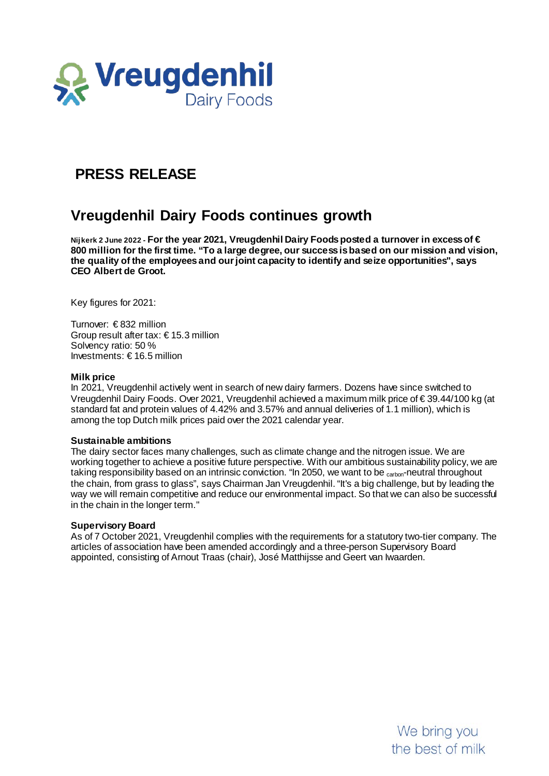

# **PRESS RELEASE**

## **Vreugdenhil Dairy Foods continues growth**

**Nijkerk 2 June 2022 - For the year 2021, Vreugdenhil Dairy Foods posted a turnover in excess of € 800 million for the first time. "To a large degree, our success is based on our mission and vision, the quality of the employees and our joint capacity to identify and seize opportunities", says CEO Albert de Groot.**

Key figures for 2021:

Turnover: € 832 million Group result after tax: € 15.3 million Solvency ratio: 50 % Investments: € 16.5 million

#### **Milk price**

In 2021, Vreugdenhil actively went in search of new dairy farmers. Dozens have since switched to Vreugdenhil Dairy Foods. Over 2021, Vreugdenhil achieved a maximum milk price of € 39.44/100 kg (at standard fat and protein values of 4.42% and 3.57% and annual deliveries of 1.1 million), which is among the top Dutch milk prices paid over the 2021 calendar year.

#### **Sustainable ambitions**

The dairy sector faces many challenges, such as climate change and the nitrogen issue. We are working together to achieve a positive future perspective. With our ambitious sustainability policy, we are taking responsibility based on an intrinsic conviction. "In 2050, we want to be <sub>carbon</sub>-neutral throughout the chain, from grass to glass", says Chairman Jan Vreugdenhil. "It's a big challenge, but by leading the way we will remain competitive and reduce our environmental impact. So that we can also be successful in the chain in the longer term."

### **Supervisory Board**

As of 7 October 2021, Vreugdenhil complies with the requirements for a statutory two-tier company. The articles of association have been amended accordingly and a three-person Supervisory Board appointed, consisting of Arnout Traas (chair), José Matthijsse and Geert van Iwaarden.

> We bring you the best of milk